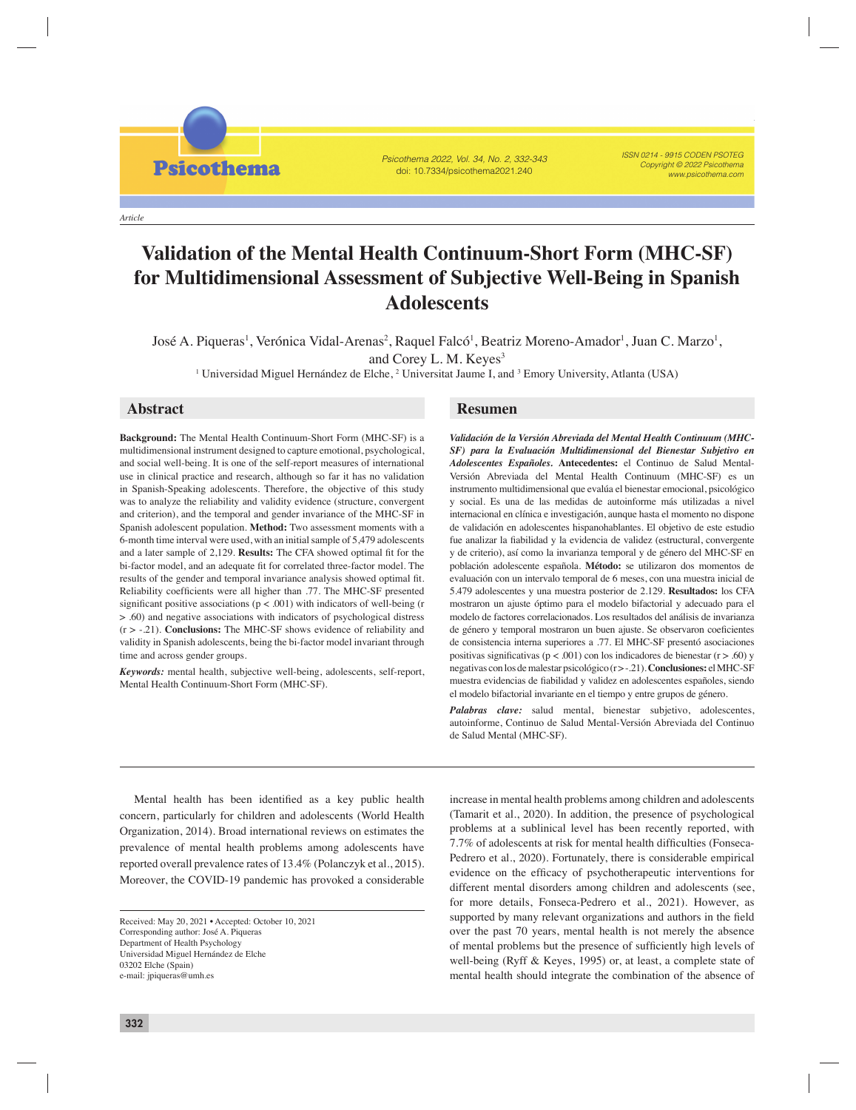*Article*

**Psicothema** 

#### Psicothema 2022, Vol. 34, No. 2, 332-343 doi: 10.7334/psicothema2021.240

ISSN 0214 - 9915 CODEN PSOTEG Copyright © 2022 Psicothema www.psicothema.com

# **Validation of the Mental Health Continuum-Short Form (MHC-SF) for Multidimensional Assessment of Subjective Well-Being in Spanish Adolescents**

José A. Piqueras, Verónica Vidal-Arenas, Raquel Falcó, Beatriz Moreno-Amador, Juan C. Marzo, and Corey L. M. Keyes

José A. Piqueras<sup>1</sup>, Verónica Vidal-Arenas<sup>2</sup>, Raquel Falcó<sup>1</sup>, Beatriz Moreno-Amador<sup>1</sup>, Juan C. Marzo<sup>1</sup>, and Corey L. M. Keyes<sup>3</sup>

<sup>1</sup> Universidad Miguel Hernández de Elche, <sup>2</sup> Universitat Jaume I, and <sup>3</sup> Emory University, Atlanta (USA)

**Background:** The Mental Health Continuum-Short Form (MHC-SF) is a multidimensional instrument designed to capture emotional, psychological, and social well-being. It is one of the self-report measures of international use in clinical practice and research, although so far it has no validation in Spanish-Speaking adolescents. Therefore, the objective of this study was to analyze the reliability and validity evidence (structure, convergent and criterion), and the temporal and gender invariance of the MHC-SF in Spanish adolescent population. **Method:** Two assessment moments with a 6-month time interval were used, with an initial sample of 5,479 adolescents and a later sample of 2,129. **Results:** The CFA showed optimal fit for the bi-factor model, and an adequate fit for correlated three-factor model. The results of the gender and temporal invariance analysis showed optimal fit. Reliability coefficients were all higher than .77. The MHC-SF presented significant positive associations ( $p < .001$ ) with indicators of well-being (r > .60) and negative associations with indicators of psychological distress (r > -.21). **Conclusions:** The MHC-SF shows evidence of reliability and validity in Spanish adolescents, being the bi-factor model invariant through time and across gender groups.

*Keywords:* mental health, subjective well-being, adolescents, self-report, Mental Health Continuum-Short Form (MHC-SF).

## **Abstract Resumen**

*Validación de la Versión Abreviada del Mental Health Continuum (MHC-SF) para la Evaluación Multidimensional del Bienestar Subjetivo en Adolescentes Españoles.* **Antecedentes:** el Continuo de Salud Mental-Versión Abreviada del Mental Health Continuum (MHC-SF) es un instrumento multidimensional que evalúa el bienestar emocional, psicológico y social. Es una de las medidas de autoinforme más utilizadas a nivel internacional en clínica e investigación, aunque hasta el momento no dispone de validación en adolescentes hispanohablantes. El objetivo de este estudio fue analizar la fiabilidad y la evidencia de validez (estructural, convergente y de criterio), así como la invarianza temporal y de género del MHC-SF en población adolescente española. **Método:** se utilizaron dos momentos de evaluación con un intervalo temporal de 6 meses, con una muestra inicial de 5.479 adolescentes y una muestra posterior de 2.129. **Resultados:** los CFA mostraron un ajuste óptimo para el modelo bifactorial y adecuado para el modelo de factores correlacionados. Los resultados del análisis de invarianza de género y temporal mostraron un buen ajuste. Se observaron coeficientes de consistencia interna superiores a .77. El MHC-SF presentó asociaciones positivas significativas ( $p < .001$ ) con los indicadores de bienestar ( $r > .60$ ) y negativas con los de malestar psicológico (r > -.21). **Conclusiones:** el MHC-SF muestra evidencias de fiabilidad y validez en adolescentes españoles, siendo el modelo bifactorial invariante en el tiempo y entre grupos de género.

*Palabras clave:* salud mental, bienestar subjetivo, adolescentes, autoinforme, Continuo de Salud Mental-Versión Abreviada del Continuo de Salud Mental (MHC-SF).

Mental health has been identified as a key public health concern, particularly for children and adolescents (World Health Organization, 2014). Broad international reviews on estimates the prevalence of mental health problems among adolescents have reported overall prevalence rates of 13.4% (Polanczyk et al., 2015). Moreover, the COVID-19 pandemic has provoked a considerable

increase in mental health problems among children and adolescents (Tamarit et al., 2020). In addition, the presence of psychological problems at a sublinical level has been recently reported, with 7.7% of adolescents at risk for mental health difficulties (Fonseca-Pedrero et al., 2020). Fortunately, there is considerable empirical evidence on the efficacy of psychotherapeutic interventions for different mental disorders among children and adolescents (see, for more details, Fonseca-Pedrero et al., 2021). However, as supported by many relevant organizations and authors in the field over the past 70 years, mental health is not merely the absence of mental problems but the presence of sufficiently high levels of well-being (Ryff & Keyes, 1995) or, at least, a complete state of mental health should integrate the combination of the absence of

Received: May 20, 2021 • Accepted: October 10, 2021 Corresponding author: José A. Piqueras Department of Health Psychology Universidad Miguel Hernández de Elche 03202 Elche (Spain) e-mail: jpiqueras@umh.es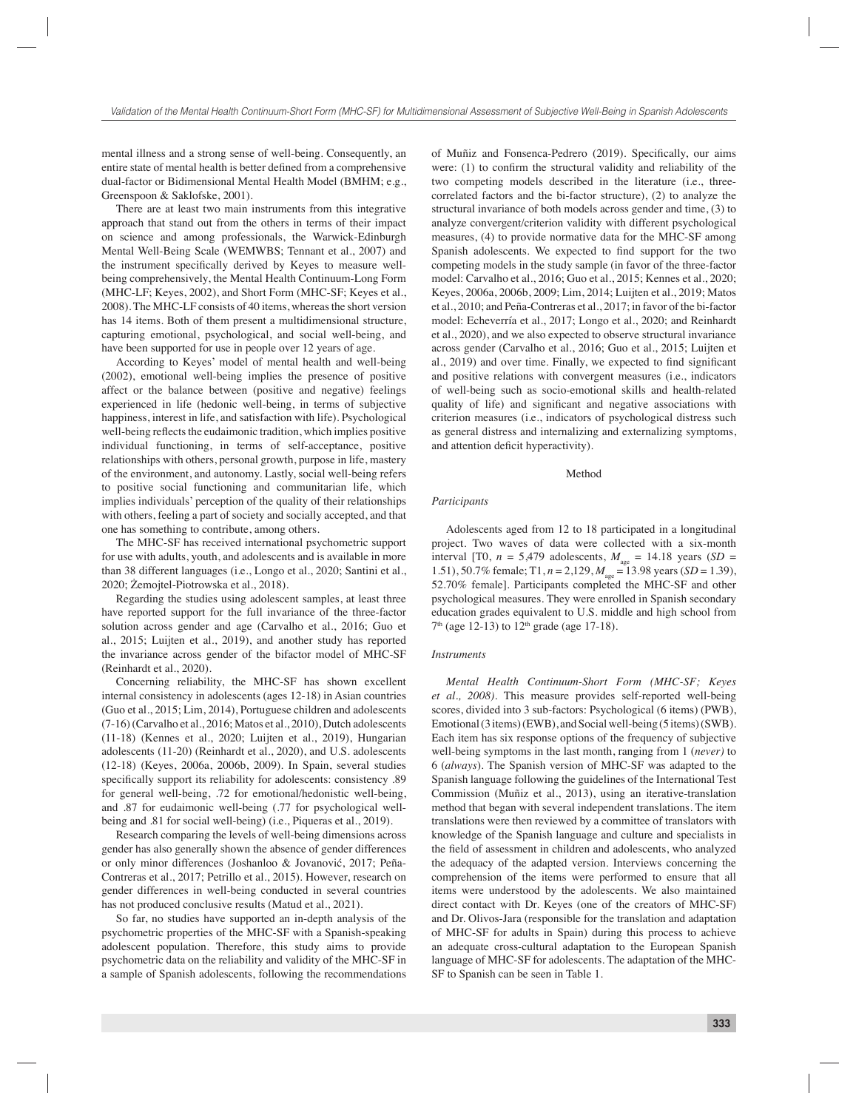mental illness and a strong sense of well-being. Consequently, an entire state of mental health is better defined from a comprehensive dual-factor or Bidimensional Mental Health Model (BMHM; e.g., Greenspoon & Saklofske, 2001).

There are at least two main instruments from this integrative approach that stand out from the others in terms of their impact on science and among professionals, the Warwick-Edinburgh Mental Well-Being Scale (WEMWBS; Tennant et al., 2007) and the instrument specifically derived by Keyes to measure wellbeing comprehensively, the Mental Health Continuum-Long Form (MHC-LF; Keyes, 2002), and Short Form (MHC-SF; Keyes et al., 2008). The MHC-LF consists of 40 items, whereas the short version has 14 items. Both of them present a multidimensional structure, capturing emotional, psychological, and social well-being, and have been supported for use in people over 12 years of age.

According to Keyes' model of mental health and well-being (2002), emotional well-being implies the presence of positive affect or the balance between (positive and negative) feelings experienced in life (hedonic well-being, in terms of subjective happiness, interest in life, and satisfaction with life). Psychological well-being reflects the eudaimonic tradition, which implies positive individual functioning, in terms of self-acceptance, positive relationships with others, personal growth, purpose in life, mastery of the environment, and autonomy. Lastly, social well-being refers to positive social functioning and communitarian life, which implies individuals' perception of the quality of their relationships with others, feeling a part of society and socially accepted, and that one has something to contribute, among others.

The MHC-SF has received international psychometric support for use with adults, youth, and adolescents and is available in more than 38 different languages (i.e., Longo et al., 2020; Santini et al., 2020; Żemojtel-Piotrowska et al., 2018).

Regarding the studies using adolescent samples, at least three have reported support for the full invariance of the three-factor solution across gender and age (Carvalho et al., 2016; Guo et al., 2015; Luijten et al., 2019), and another study has reported the invariance across gender of the bifactor model of MHC-SF (Reinhardt et al., 2020).

Concerning reliability, the MHC-SF has shown excellent internal consistency in adolescents (ages 12-18) in Asian countries (Guo et al., 2015; Lim, 2014), Portuguese children and adolescents (7-16) (Carvalho et al., 2016; Matos et al., 2010), Dutch adolescents (11-18) (Kennes et al., 2020; Luijten et al., 2019), Hungarian adolescents (11-20) (Reinhardt et al., 2020), and U.S. adolescents (12-18) (Keyes, 2006a, 2006b, 2009). In Spain, several studies specifically support its reliability for adolescents: consistency .89 for general well-being, .72 for emotional/hedonistic well-being, and .87 for eudaimonic well-being (.77 for psychological wellbeing and .81 for social well-being) (i.e., Piqueras et al., 2019).

Research comparing the levels of well-being dimensions across gender has also generally shown the absence of gender differences or only minor differences (Joshanloo & Jovanović, 2017; Peña-Contreras et al., 2017; Petrillo et al., 2015). However, research on gender differences in well-being conducted in several countries has not produced conclusive results (Matud et al., 2021).

So far, no studies have supported an in-depth analysis of the psychometric properties of the MHC-SF with a Spanish-speaking adolescent population. Therefore, this study aims to provide psychometric data on the reliability and validity of the MHC-SF in a sample of Spanish adolescents, following the recommendations

of Muñiz and Fonsenca-Pedrero (2019). Specifically, our aims were:  $(1)$  to confirm the structural validity and reliability of the two competing models described in the literature (i.e., threecorrelated factors and the bi-factor structure), (2) to analyze the structural invariance of both models across gender and time, (3) to analyze convergent/criterion validity with different psychological measures, (4) to provide normative data for the MHC-SF among Spanish adolescents. We expected to find support for the two competing models in the study sample (in favor of the three-factor model: Carvalho et al., 2016; Guo et al., 2015; Kennes et al., 2020; Keyes, 2006a, 2006b, 2009; Lim, 2014; Luijten et al., 2019; Matos et al., 2010; and Peña-Contreras et al., 2017; in favor of the bi-factor model: Echeverría et al., 2017; Longo et al., 2020; and Reinhardt et al., 2020), and we also expected to observe structural invariance across gender (Carvalho et al., 2016; Guo et al., 2015; Luijten et al., 2019) and over time. Finally, we expected to find significant and positive relations with convergent measures (i.e., indicators of well-being such as socio-emotional skills and health-related quality of life) and significant and negative associations with criterion measures (i.e., indicators of psychological distress such as general distress and internalizing and externalizing symptoms, and attention deficit hyperactivity).

#### Method

### *Participants*

Adolescents aged from 12 to 18 participated in a longitudinal project. Two waves of data were collected with a six-month interval [T0,  $n = 5,479$  adolescents,  $M_{\text{age}} = 14.18$  years (*SD* = 1.51), 50.7% female; T1,  $n = 2,129$ ,  $M_{\text{age}} = 13.98$  years (*SD* = 1.39), 52.70% female]. Participants completed the MHC-SF and other psychological measures. They were enrolled in Spanish secondary education grades equivalent to U.S. middle and high school from  $7<sup>th</sup>$  (age 12-13) to 12<sup>th</sup> grade (age 17-18).

#### *Instruments*

*Mental Health Continuum-Short Form (MHC-SF; Keyes et al., 2008).* This measure provides self-reported well-being scores, divided into 3 sub-factors: Psychological (6 items) (PWB), Emotional (3 items) (EWB), and Social well-being (5 items) (SWB). Each item has six response options of the frequency of subjective well-being symptoms in the last month, ranging from 1 (*never)* to 6 (*always*). The Spanish version of MHC-SF was adapted to the Spanish language following the guidelines of the International Test Commission (Muñiz et al., 2013), using an iterative-translation method that began with several independent translations. The item translations were then reviewed by a committee of translators with knowledge of the Spanish language and culture and specialists in the field of assessment in children and adolescents, who analyzed the adequacy of the adapted version. Interviews concerning the comprehension of the items were performed to ensure that all items were understood by the adolescents. We also maintained direct contact with Dr. Keyes (one of the creators of MHC-SF) and Dr. Olivos-Jara (responsible for the translation and adaptation of MHC-SF for adults in Spain) during this process to achieve an adequate cross-cultural adaptation to the European Spanish language of MHC-SF for adolescents. The adaptation of the MHC-SF to Spanish can be seen in Table 1.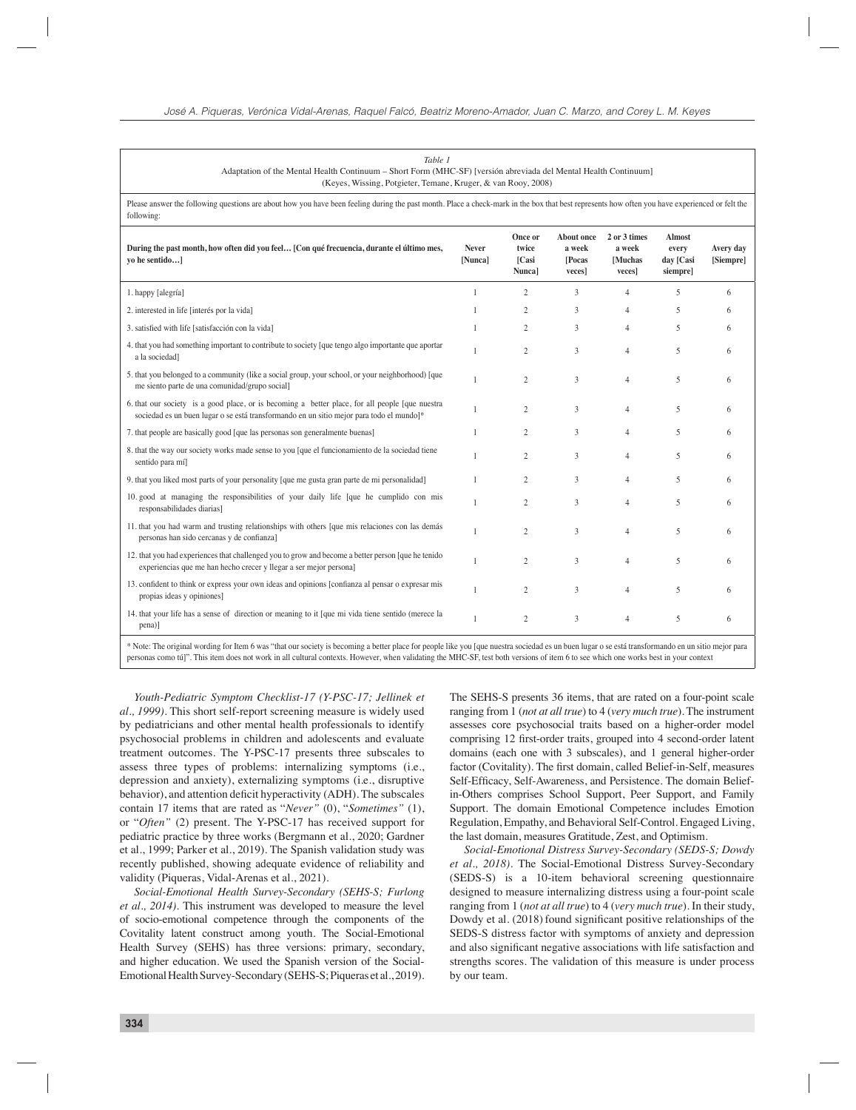| Table 1<br>Adaptation of the Mental Health Continuum - Short Form (MHC-SF) [versión abreviada del Mental Health Continuum]<br>(Keyes, Wissing, Potgieter, Temane, Kruger, & van Rooy, 2008)                                                                                                                                                                                               |                         |                                     |                                                 |                                             |                                                 |                        |
|-------------------------------------------------------------------------------------------------------------------------------------------------------------------------------------------------------------------------------------------------------------------------------------------------------------------------------------------------------------------------------------------|-------------------------|-------------------------------------|-------------------------------------------------|---------------------------------------------|-------------------------------------------------|------------------------|
| Please answer the following questions are about how you have been feeling during the past month. Place a check-mark in the box that best represents how often you have experienced or felt the<br>following:                                                                                                                                                                              |                         |                                     |                                                 |                                             |                                                 |                        |
| During the past month, how often did you feel [Con qué frecuencia, durante el último mes,<br>yo he sentido]                                                                                                                                                                                                                                                                               | <b>Never</b><br>[Nunca] | Once or<br>twice<br>[Casi<br>Nunca] | <b>About once</b><br>a week<br>[Pocas<br>veces] | 2 or 3 times<br>a week<br>[Muchas<br>veces] | <b>Almost</b><br>every<br>day [Casi<br>siempre] | Avery day<br>[Siempre] |
| 1. happy [alegría]                                                                                                                                                                                                                                                                                                                                                                        | 1                       | $\overline{2}$                      | 3                                               | $\overline{4}$                              | 5                                               | 6                      |
| 2. interested in life [interés por la vida]                                                                                                                                                                                                                                                                                                                                               | 1                       | $\overline{2}$                      | 3                                               | $\overline{4}$                              | 5                                               | 6                      |
| 3. satisfied with life [satisfacción con la vida]                                                                                                                                                                                                                                                                                                                                         | $\mathbf{1}$            | $\overline{2}$                      | 3                                               | $\overline{4}$                              | 5                                               | 6                      |
| 4. that you had something important to contribute to society [que tengo algo importante que aportant<br>a la sociedad]                                                                                                                                                                                                                                                                    | 1                       | $\overline{c}$                      | $\overline{3}$                                  | $\overline{4}$                              | 5                                               | 6                      |
| 5. that you belonged to a community (like a social group, your school, or your neighborhood) [que<br>me siento parte de una comunidad/grupo social]                                                                                                                                                                                                                                       | $\mathbf{1}$            | $\overline{2}$                      | $\overline{3}$                                  | $\overline{4}$                              | 5                                               | 6                      |
| 6. that our society is a good place, or is becoming a better place, for all people [que nuestral]<br>sociedad es un buen lugar o se está transformando en un sitio mejor para todo el mundo]*                                                                                                                                                                                             | $\mathbf{1}$            | $\overline{2}$                      | $\overline{3}$                                  | $\overline{4}$                              | 5                                               | 6                      |
| 7. that people are basically good [que las personas son generalmente buenas]                                                                                                                                                                                                                                                                                                              | 1                       | $\overline{2}$                      | $\overline{3}$                                  | $\overline{4}$                              | 5                                               | 6                      |
| 8. that the way our society works made sense to you [que el funcionamiento de la sociedad tiene<br>sentido para mí                                                                                                                                                                                                                                                                        | 1                       | $\overline{c}$                      | 3                                               | $\overline{4}$                              | 5                                               | 6                      |
| 9. that you liked most parts of your personality [que me gusta gran parte de mi personalidad]                                                                                                                                                                                                                                                                                             | $\mathbf{1}$            | $\overline{c}$                      | 3                                               | $\overline{4}$                              | 5                                               | 6                      |
| 10. good at managing the responsibilities of your daily life [que he cumplido con mis<br>responsabilidades diarias]                                                                                                                                                                                                                                                                       | 1                       | $\overline{c}$                      | 3                                               | $\overline{4}$                              | 5                                               | 6                      |
| 11. that you had warm and trusting relationships with others [que mis relaciones con las demás<br>personas han sido cercanas y de confianza]                                                                                                                                                                                                                                              | $\mathbf{1}$            | $\overline{2}$                      | $\overline{3}$                                  | $\overline{4}$                              | 5                                               | 6                      |
| 12. that you had experiences that challenged you to grow and become a better person [que he tenido<br>experiencias que me han hecho crecer y llegar a ser mejor persona]                                                                                                                                                                                                                  | $\mathbf{1}$            | $\overline{c}$                      | 3                                               | $\overline{4}$                              | 5                                               | 6                      |
| 13. confident to think or express your own ideas and opinions [confianza al pensar o expresar mis<br>propias ideas y opiniones]                                                                                                                                                                                                                                                           | $\mathbf{1}$            | $\overline{2}$                      | $\overline{3}$                                  | $\overline{4}$                              | 5                                               | 6                      |
| 14. that your life has a sense of direction or meaning to it [que mi vida tiene sentido (merece la<br>pena)]                                                                                                                                                                                                                                                                              | 1                       | $\overline{2}$                      | $\overline{3}$                                  | $\overline{4}$                              | 5                                               | 6                      |
| * Note: The original wording for Item 6 was "that our society is becoming a better place for people like you [que nuestra sociedad es un buen lugar o se está transformando en un sitio mejor para<br>personas como tú]". This item does not work in all cultural contexts. However, when validating the MHC-SF, test both versions of item 6 to see which one works best in your context |                         |                                     |                                                 |                                             |                                                 |                        |

*Youth-Pediatric Symptom Checklist-17 (Y-PSC-17; Jellinek et al., 1999).* This short self-report screening measure is widely used by pediatricians and other mental health professionals to identify psychosocial problems in children and adolescents and evaluate treatment outcomes. The Y-PSC-17 presents three subscales to assess three types of problems: internalizing symptoms (i.e., depression and anxiety), externalizing symptoms (i.e., disruptive behavior), and attention deficit hyperactivity (ADH). The subscales contain 17 items that are rated as "*Never"* (0), "*Sometimes"* (1), or "*Often"* (2) present. The Y-PSC-17 has received support for pediatric practice by three works (Bergmann et al., 2020; Gardner et al., 1999; Parker et al., 2019). The Spanish validation study was recently published, showing adequate evidence of reliability and validity (Piqueras, Vidal-Arenas et al., 2021).

*Social-Emotional Health Survey-Secondary (SEHS-S; Furlong et al., 2014).* This instrument was developed to measure the level of socio-emotional competence through the components of the Covitality latent construct among youth. The Social-Emotional Health Survey (SEHS) has three versions: primary, secondary, and higher education. We used the Spanish version of the Social-Emotional Health Survey-Secondary (SEHS-S; Piqueras et al., 2019).

The SEHS-S presents 36 items, that are rated on a four-point scale ranging from 1 (*not at all true*) to 4 (*very much true*). The instrument assesses core psychosocial traits based on a higher-order model comprising 12 first-order traits, grouped into 4 second-order latent domains (each one with 3 subscales), and 1 general higher-order factor (Covitality). The first domain, called Belief-in-Self, measures Self-Efficacy, Self-Awareness, and Persistence. The domain Beliefin-Others comprises School Support, Peer Support, and Family Support. The domain Emotional Competence includes Emotion Regulation, Empathy, and Behavioral Self-Control. Engaged Living, the last domain, measures Gratitude, Zest, and Optimism.

*Social-Emotional Distress Survey-Secondary (SEDS-S; Dowdy et al., 2018).* The Social-Emotional Distress Survey-Secondary (SEDS-S) is a 10-item behavioral screening questionnaire designed to measure internalizing distress using a four-point scale ranging from 1 (*not at all true*) to 4 (*very much true*). In their study, Dowdy et al. (2018) found significant positive relationships of the SEDS-S distress factor with symptoms of anxiety and depression and also significant negative associations with life satisfaction and strengths scores. The validation of this measure is under process by our team.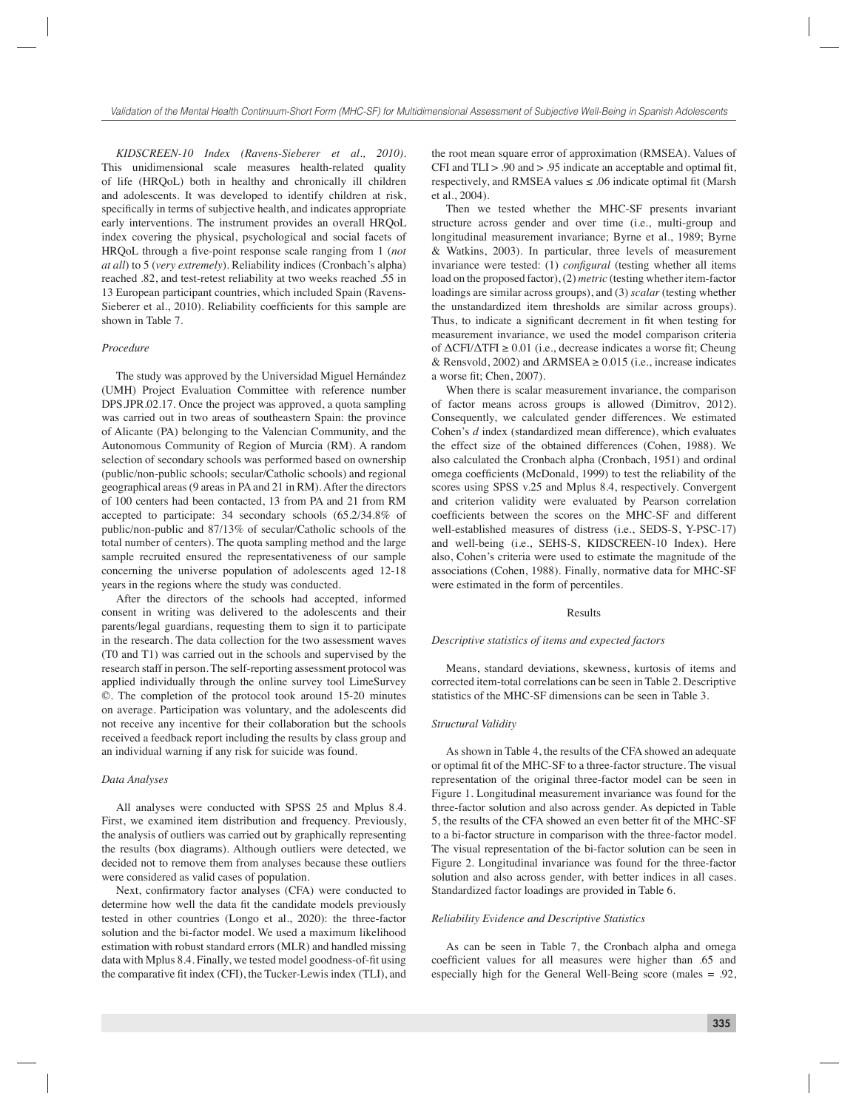*KIDSCREEN-10 Index (Ravens-Sieberer et al., 2010).*  This unidimensional scale measures health-related quality of life (HRQoL) both in healthy and chronically ill children and adolescents. It was developed to identify children at risk, specifically in terms of subjective health, and indicates appropriate early interventions. The instrument provides an overall HRQoL index covering the physical, psychological and social facets of HRQoL through a five-point response scale ranging from 1 (*not at all*) to 5 (*very extremely*). Reliability indices (Cronbach's alpha) reached .82, and test-retest reliability at two weeks reached .55 in 13 European participant countries, which included Spain (Ravens-Sieberer et al., 2010). Reliability coefficients for this sample are shown in Table 7.

#### *Procedure*

The study was approved by the Universidad Miguel Hernández (UMH) Project Evaluation Committee with reference number DPS.JPR.02.17. Once the project was approved, a quota sampling was carried out in two areas of southeastern Spain: the province of Alicante (PA) belonging to the Valencian Community, and the Autonomous Community of Region of Murcia (RM). A random selection of secondary schools was performed based on ownership (public/non-public schools; secular/Catholic schools) and regional geographical areas (9 areas in PA and 21 in RM). After the directors of 100 centers had been contacted, 13 from PA and 21 from RM accepted to participate: 34 secondary schools (65.2/34.8% of public/non-public and 87/13% of secular/Catholic schools of the total number of centers). The quota sampling method and the large sample recruited ensured the representativeness of our sample concerning the universe population of adolescents aged 12-18 years in the regions where the study was conducted.

After the directors of the schools had accepted, informed consent in writing was delivered to the adolescents and their parents/legal guardians, requesting them to sign it to participate in the research. The data collection for the two assessment waves (T0 and T1) was carried out in the schools and supervised by the research staff in person. The self-reporting assessment protocol was applied individually through the online survey tool LimeSurvey ©. The completion of the protocol took around 15-20 minutes on average. Participation was voluntary, and the adolescents did not receive any incentive for their collaboration but the schools received a feedback report including the results by class group and an individual warning if any risk for suicide was found.

#### *Data Analyses*

All analyses were conducted with SPSS 25 and Mplus 8.4. First, we examined item distribution and frequency. Previously, the analysis of outliers was carried out by graphically representing the results (box diagrams). Although outliers were detected, we decided not to remove them from analyses because these outliers were considered as valid cases of population.

Next, confirmatory factor analyses (CFA) were conducted to determine how well the data fit the candidate models previously tested in other countries (Longo et al., 2020): the three-factor solution and the bi-factor model. We used a maximum likelihood estimation with robust standard errors (MLR) and handled missing data with Mplus 8.4. Finally, we tested model goodness-of-fit using the comparative fit index (CFI), the Tucker-Lewis index (TLI), and

the root mean square error of approximation (RMSEA). Values of CFI and  $TLI > .90$  and  $> .95$  indicate an acceptable and optimal fit, respectively, and RMSEA values  $\leq 0.06$  indicate optimal fit (Marsh et al., 2004).

Then we tested whether the MHC-SF presents invariant structure across gender and over time (i.e., multi-group and longitudinal measurement invariance; Byrne et al., 1989; Byrne & Watkins, 2003). In particular, three levels of measurement invariance were tested: (1) *configural* (testing whether all items load on the proposed factor), (2) *metric* (testing whether item-factor loadings are similar across groups), and (3) *scalar* (testing whether the unstandardized item thresholds are similar across groups). Thus, to indicate a significant decrement in fit when testing for measurement invariance, we used the model comparison criteria of  $\Delta$ CFI/ $\Delta$ TFI  $\geq$  0.01 (i.e., decrease indicates a worse fit; Cheung & Rensvold, 2002) and  $\triangle$ RMSEA  $\ge$  0.015 (i.e., increase indicates a worse fit: Chen,  $2007$ .

When there is scalar measurement invariance, the comparison of factor means across groups is allowed (Dimitrov, 2012). Consequently, we calculated gender differences. We estimated Cohen's *d* index (standardized mean difference), which evaluates the effect size of the obtained differences (Cohen, 1988). We also calculated the Cronbach alpha (Cronbach, 1951) and ordinal omega coefficients (McDonald, 1999) to test the reliability of the scores using SPSS v.25 and Mplus 8.4, respectively. Convergent and criterion validity were evaluated by Pearson correlation coefficients between the scores on the MHC-SF and different well-established measures of distress (i.e., SEDS-S, Y-PSC-17) and well-being (i.e., SEHS-S, KIDSCREEN-10 Index). Here also, Cohen's criteria were used to estimate the magnitude of the associations (Cohen, 1988). Finally, normative data for MHC-SF were estimated in the form of percentiles.

#### Results

#### *Descriptive statistics of items and expected factors*

Means, standard deviations, skewness, kurtosis of items and corrected item-total correlations can be seen in Table 2. Descriptive statistics of the MHC-SF dimensions can be seen in Table 3.

#### *Structural Validity*

As shown in Table 4, the results of the CFA showed an adequate or optimal fit of the MHC-SF to a three-factor structure. The visual representation of the original three-factor model can be seen in Figure 1. Longitudinal measurement invariance was found for the three-factor solution and also across gender. As depicted in Table 5, the results of the CFA showed an even better fit of the MHC-SF to a bi-factor structure in comparison with the three-factor model. The visual representation of the bi-factor solution can be seen in Figure 2. Longitudinal invariance was found for the three-factor solution and also across gender, with better indices in all cases. Standardized factor loadings are provided in Table 6.

#### *Reliability Evidence and Descriptive Statistics*

As can be seen in Table 7, the Cronbach alpha and omega coefficient values for all measures were higher than .65 and especially high for the General Well-Being score (males = .92,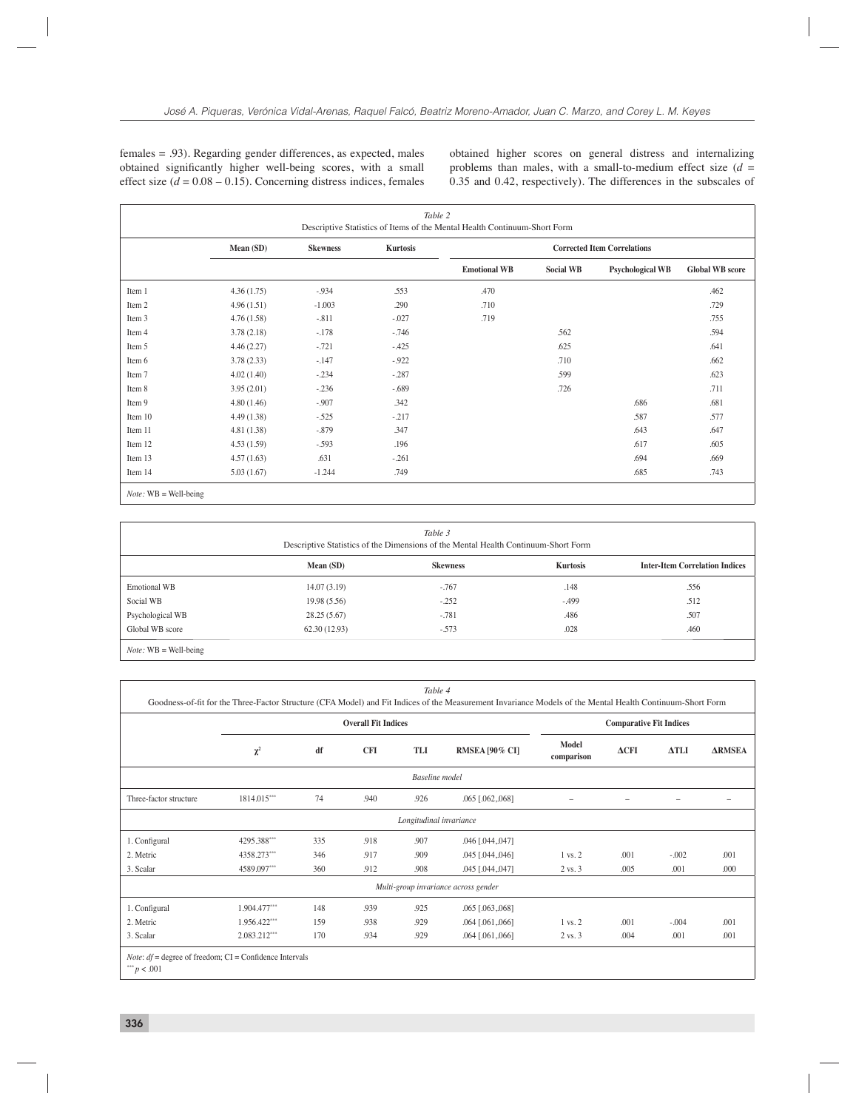females = .93). Regarding gender differences, as expected, males obtained significantly higher well-being scores, with a small effect size  $(d = 0.08 - 0.15)$ . Concerning distress indices, females obtained higher scores on general distress and internalizing problems than males, with a small-to-medium effect size (*d* = 0.35 and 0.42, respectively). The differences in the subscales of

٦

|                         |            |                 | Table 2         | Descriptive Statistics of Items of the Mental Health Continuum-Short Form |                                    |                         |                        |
|-------------------------|------------|-----------------|-----------------|---------------------------------------------------------------------------|------------------------------------|-------------------------|------------------------|
|                         | Mean (SD)  | <b>Skewness</b> | <b>Kurtosis</b> |                                                                           | <b>Corrected Item Correlations</b> |                         |                        |
|                         |            |                 |                 | <b>Emotional WB</b>                                                       | <b>Social WB</b>                   | <b>Psychological WB</b> | <b>Global WB</b> score |
| Item 1                  | 4.36(1.75) | $-.934$         | .553            | .470                                                                      |                                    |                         | .462                   |
| Item 2                  | 4.96(1.51) | $-1.003$        | .290            | .710                                                                      |                                    |                         | .729                   |
| Item 3                  | 4.76(1.58) | $-.811$         | $-.027$         | .719                                                                      |                                    |                         | .755                   |
| Item 4                  | 3.78(2.18) | $-.178$         | $-746$          |                                                                           | .562                               |                         | .594                   |
| Item 5                  | 4.46(2.27) | $-.721$         | $-425$          |                                                                           | .625                               |                         | .641                   |
| Item 6                  | 3.78(2.33) | $-.147$         | $-.922$         |                                                                           | .710                               |                         | .662                   |
| Item 7                  | 4.02(1.40) | $-.234$         | $-.287$         |                                                                           | .599                               |                         | .623                   |
| Item 8                  | 3.95(2.01) | $-.236$         | $-.689$         |                                                                           | .726                               |                         | .711                   |
| Item 9                  | 4.80(1.46) | $-.907$         | .342            |                                                                           |                                    | .686                    | .681                   |
| Item 10                 | 4.49(1.38) | $-.525$         | $-.217$         |                                                                           |                                    | .587                    | .577                   |
| Item 11                 | 4.81(1.38) | $-.879$         | .347            |                                                                           |                                    | .643                    | .647                   |
| Item 12                 | 4.53(1.59) | $-.593$         | .196            |                                                                           |                                    | .617                    | .605                   |
| Item 13                 | 4.57(1.63) | .631            | $-.261$         |                                                                           |                                    | .694                    | .669                   |
| Item 14                 | 5.03(1.67) | $-1.244$        | .749            |                                                                           |                                    | .685                    | .743                   |
| $Note: WB = Well-being$ |            |                 |                 |                                                                           |                                    |                         |                        |

 $\sqrt{ }$ 

*Table 3* 

| Table 3<br>Descriptive Statistics of the Dimensions of the Mental Health Continuum-Short Form |              |                 |                 |                                       |  |  |  |  |
|-----------------------------------------------------------------------------------------------|--------------|-----------------|-----------------|---------------------------------------|--|--|--|--|
|                                                                                               | Mean $(SD)$  | <b>Skewness</b> | <b>Kurtosis</b> | <b>Inter-Item Correlation Indices</b> |  |  |  |  |
| <b>Emotional WB</b>                                                                           | 14.07(3.19)  | $-.767$         | .148            | .556                                  |  |  |  |  |
| Social WB                                                                                     | 19.98(5.56)  | $-.252$         | $-499$          | .512                                  |  |  |  |  |
| Psychological WB                                                                              | 28.25(5.67)  | $-.781$         | .486            | .507                                  |  |  |  |  |
| Global WB score                                                                               | 62.30(12.93) | $-.573$         | .028            | .460                                  |  |  |  |  |
| $Note: WB = Well-being$                                                                       |              |                 |                 |                                       |  |  |  |  |

|                        |              |     | <b>Overall Fit Indices</b> |                         |                                      | <b>Comparative Fit Indices</b> |              |              |               |
|------------------------|--------------|-----|----------------------------|-------------------------|--------------------------------------|--------------------------------|--------------|--------------|---------------|
|                        | $\chi^2$     | df  | <b>CFI</b>                 | TLI                     | RMSEA [90% CI]                       | Model<br>comparison            | $\Delta$ CFI | $\Delta TLI$ | <b>ARMSEA</b> |
|                        |              |     |                            | <b>Baseline</b> model   |                                      |                                |              |              |               |
| Three-factor structure | 1814.015***  | 74  | .940                       | .926                    | $.065$ $[.062, .068]$                |                                |              |              |               |
|                        |              |     |                            | Longitudinal invariance |                                      |                                |              |              |               |
| 1. Configural          | 4295.388***  | 335 | .918                       | .907                    | $.046$ [.044,.047]                   |                                |              |              |               |
| 2. Metric              | 4358.273***  | 346 | .917                       | .909                    | .045 [.044,.046]                     | 1 vs. 2                        | .001         | $-.002$      | .001          |
| 3. Scalar              | 4589.097***  | 360 | .912                       | .908                    | .045 [.044,.047]                     | 2 vs. 3                        | .005         | .001         | .000          |
|                        |              |     |                            |                         | Multi-group invariance across gender |                                |              |              |               |
| 1. Configural          | 1.904.477*** | 148 | .939                       | .925                    | $.065$ [.063, 068]                   |                                |              |              |               |
| 2. Metric              | 1.956.422*** | 159 | .938                       | .929                    | $.064$ [.061, 066]                   | 1 vs. 2                        | .001         | $-.004$      | .001          |
| 3. Scalar              | 2.083.212*** | 170 | .934                       | .929                    | $.064$ [.061, 066]                   | $2 \text{ vs. } 3$             | .004         | .001         | .001          |

 $p < 0.01$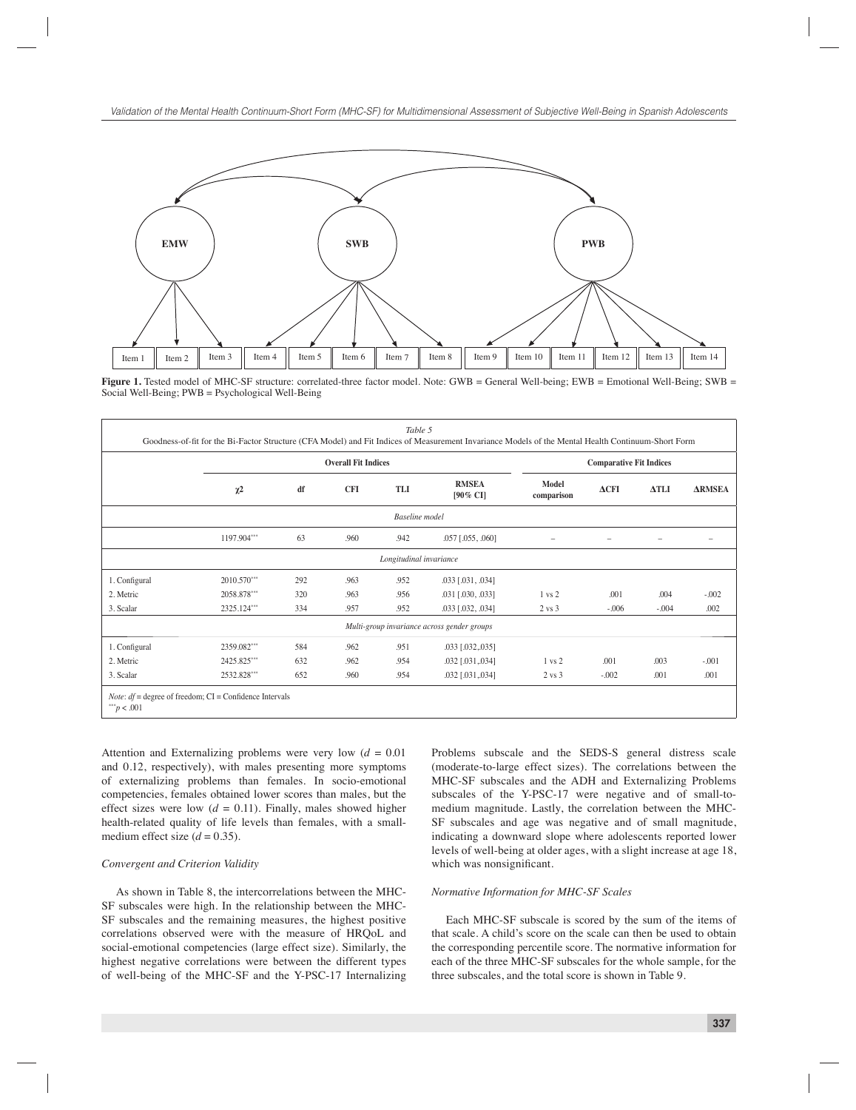

Figure 1. Tested model of MHC-SF structure: correlated-three factor model. Note: GWB = General Well-being; EWB = Emotional Well-Being; SWB = Social Well-Being; PWB = Psychological Well-Being

|               |             |     | <b>Overall Fit Indices</b> |                         |                                             |                     | <b>Comparative Fit Indices</b> |              |               |
|---------------|-------------|-----|----------------------------|-------------------------|---------------------------------------------|---------------------|--------------------------------|--------------|---------------|
|               | $\chi^2$    | df  | <b>CFI</b>                 | TLI                     | <b>RMSEA</b><br>[90% CI]                    | Model<br>comparison | $\Delta$ CFI                   | $\Delta TLI$ | <b>ARMSEA</b> |
|               |             |     |                            | <b>Baseline</b> model   |                                             |                     |                                |              |               |
|               | 1197.904*** | 63  | .960                       | .942                    | $.057$ [.055, .060]                         |                     |                                |              |               |
|               |             |     |                            | Longitudinal invariance |                                             |                     |                                |              |               |
| 1. Configural | 2010.570*** | 292 | .963                       | .952                    | $.033$ [.031, .034]                         |                     |                                |              |               |
| 2. Metric     | 2058.878*** | 320 | .963                       | .956                    | $.031$ [.030, .033]                         | 1 vs 2              | .001                           | .004         | $-.002$       |
| 3. Scalar     | 2325.124*** | 334 | .957                       | .952                    | .033 [.032, .034]                           | $2 \text{ vs } 3$   | $-0.06$                        | $-.004$      | .002          |
|               |             |     |                            |                         | Multi-group invariance across gender groups |                     |                                |              |               |
| 1. Configural | 2359.082*** | 584 | .962                       | .951                    | $.033$ [.032, 035]                          |                     |                                |              |               |
| 2. Metric     | 2425.825*** | 632 | .962                       | .954                    | $.032$ [ $.031$ , $.034$ ]                  | $1 \text{ vs } 2$   | .001                           | .003         | $-.001$       |
| 3. Scalar     | 2532.828*** | 652 | .960                       | .954                    | $.032$ [ $.031$ , $.034$ ]                  | $2 \text{ vs } 3$   | $-.002$                        | .001         | .001          |

Attention and Externalizing problems were very low (*d* = 0.01 and 0.12, respectively), with males presenting more symptoms of externalizing problems than females. In socio-emotional competencies, females obtained lower scores than males, but the effect sizes were low  $(d = 0.11)$ . Finally, males showed higher health-related quality of life levels than females, with a smallmedium effect size  $(d = 0.35)$ .

#### *Convergent and Criterion Validity*

As shown in Table 8, the intercorrelations between the MHC-SF subscales were high. In the relationship between the MHC-SF subscales and the remaining measures, the highest positive correlations observed were with the measure of HRQoL and social-emotional competencies (large effect size). Similarly, the highest negative correlations were between the different types of well-being of the MHC-SF and the Y-PSC-17 Internalizing

Problems subscale and the SEDS-S general distress scale (moderate-to-large effect sizes). The correlations between the MHC-SF subscales and the ADH and Externalizing Problems subscales of the Y-PSC-17 were negative and of small-tomedium magnitude. Lastly, the correlation between the MHC-SF subscales and age was negative and of small magnitude, indicating a downward slope where adolescents reported lower levels of well-being at older ages, with a slight increase at age 18, which was nonsignificant.

#### *Normative Information for MHC-SF Scales*

Each MHC-SF subscale is scored by the sum of the items of that scale. A child's score on the scale can then be used to obtain the corresponding percentile score. The normative information for each of the three MHC-SF subscales for the whole sample, for the three subscales, and the total score is shown in Table 9.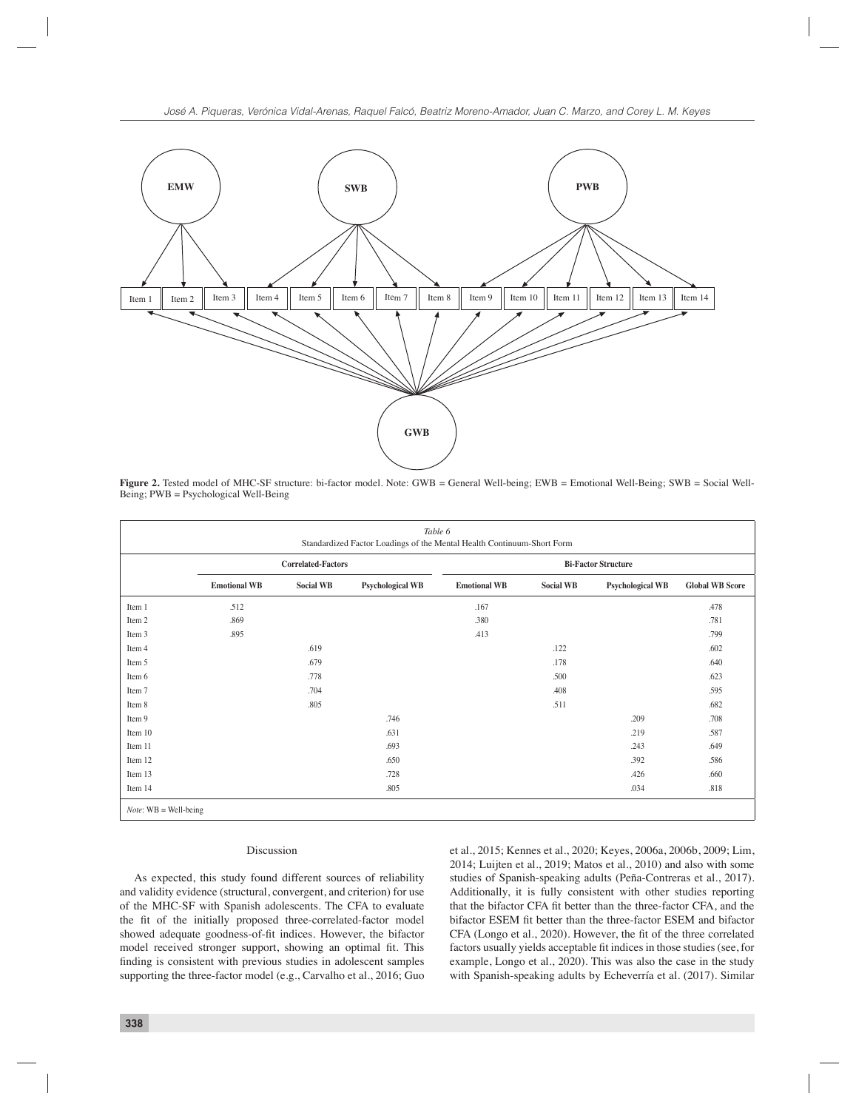

Figure 2. Tested model of MHC-SF structure: bi-factor model. Note: GWB = General Well-being; EWB = Emotional Well-Being; SWB = Social Well-Being; PWB = Psychological Well-Being

|                         | Table 6<br>Standardized Factor Loadings of the Mental Health Continuum-Short Form |                  |                         |                     |                            |                         |                        |  |  |  |
|-------------------------|-----------------------------------------------------------------------------------|------------------|-------------------------|---------------------|----------------------------|-------------------------|------------------------|--|--|--|
|                         | <b>Correlated-Factors</b>                                                         |                  |                         |                     | <b>Bi-Factor Structure</b> |                         |                        |  |  |  |
|                         | <b>Emotional WB</b>                                                               | <b>Social WB</b> | <b>Psychological WB</b> | <b>Emotional WB</b> | <b>Social WB</b>           | <b>Psychological WB</b> | <b>Global WB Score</b> |  |  |  |
| Item 1                  | .512                                                                              |                  |                         | .167                |                            |                         | .478                   |  |  |  |
| Item 2                  | .869                                                                              |                  |                         | .380                |                            |                         | .781                   |  |  |  |
| Item 3                  | .895                                                                              |                  |                         | .413                |                            |                         | .799                   |  |  |  |
| Item 4                  |                                                                                   | .619             |                         |                     | .122                       |                         | .602                   |  |  |  |
| Item 5                  |                                                                                   | .679             |                         |                     | .178                       |                         | .640                   |  |  |  |
| Item 6                  |                                                                                   | .778             |                         |                     | .500                       |                         | .623                   |  |  |  |
| Item 7                  |                                                                                   | .704             |                         |                     | .408                       |                         | .595                   |  |  |  |
| Item 8                  |                                                                                   | .805             |                         |                     | .511                       |                         | .682                   |  |  |  |
| Item 9                  |                                                                                   |                  | .746                    |                     |                            | .209                    | .708                   |  |  |  |
| Item 10                 |                                                                                   |                  | .631                    |                     |                            | .219                    | .587                   |  |  |  |
| Item 11                 |                                                                                   |                  | .693                    |                     |                            | .243                    | .649                   |  |  |  |
| Item 12                 |                                                                                   |                  | .650                    |                     |                            | .392                    | .586                   |  |  |  |
| Item 13                 |                                                                                   |                  | .728                    |                     |                            | .426                    | .660                   |  |  |  |
| Item 14                 |                                                                                   |                  | .805                    |                     |                            | .034                    | .818                   |  |  |  |
| $Note: WB = Well-being$ |                                                                                   |                  |                         |                     |                            |                         |                        |  |  |  |

### Discussion

As expected, this study found different sources of reliability and validity evidence (structural, convergent, and criterion) for use of the MHC-SF with Spanish adolescents. The CFA to evaluate the fit of the initially proposed three-correlated-factor model showed adequate goodness-of-fit indices. However, the bifactor model received stronger support, showing an optimal fit. This finding is consistent with previous studies in adolescent samples supporting the three-factor model (e.g., Carvalho et al., 2016; Guo

et al., 2015; Kennes et al., 2020; Keyes, 2006a, 2006b, 2009; Lim, 2014; Luijten et al., 2019; Matos et al., 2010) and also with some studies of Spanish-speaking adults (Peña-Contreras et al., 2017). Additionally, it is fully consistent with other studies reporting that the bifactor CFA fit better than the three-factor CFA, and the bifactor ESEM fit better than the three-factor ESEM and bifactor CFA (Longo et al., 2020). However, the fit of the three correlated factors usually yields acceptable fit indices in those studies (see, for example, Longo et al., 2020). This was also the case in the study with Spanish-speaking adults by Echeverría et al. (2017). Similar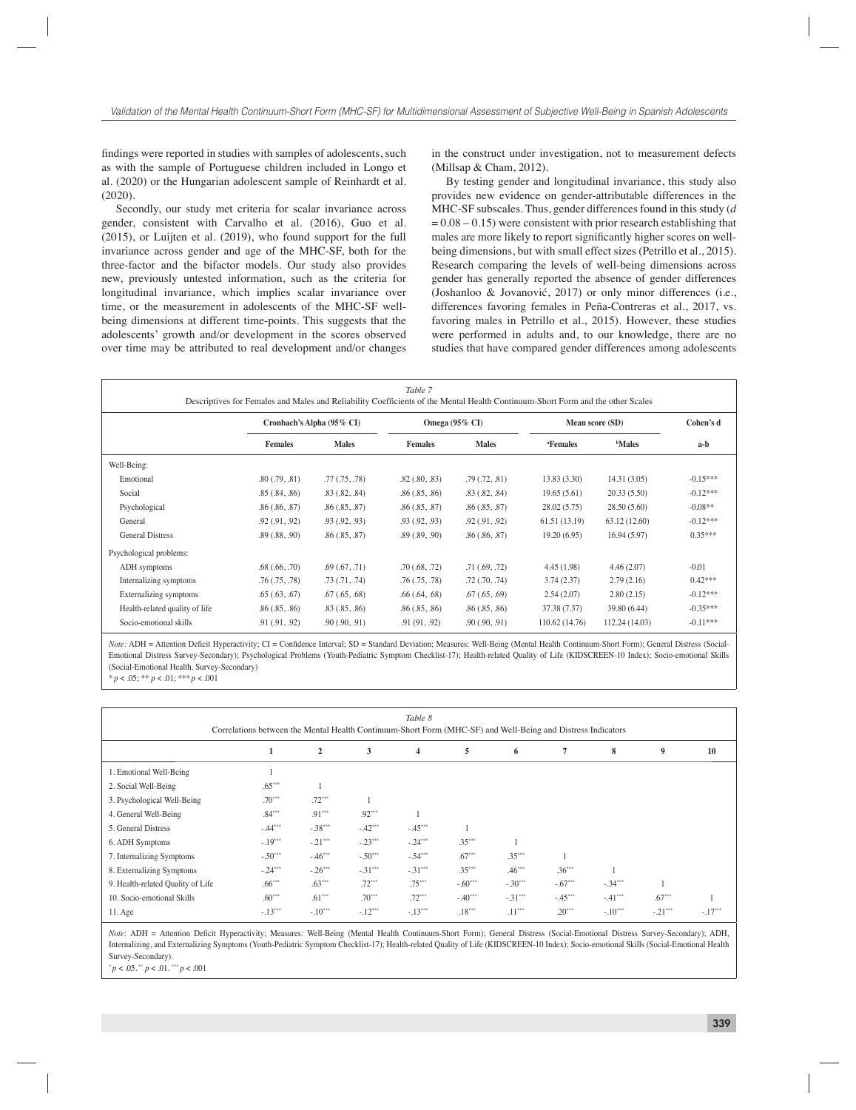findings were reported in studies with samples of adolescents, such as with the sample of Portuguese children included in Longo et al. (2020) or the Hungarian adolescent sample of Reinhardt et al.  $(2020)$ 

Secondly, our study met criteria for scalar invariance across gender, consistent with Carvalho et al. (2016), Guo et al. (2015), or Luijten et al. (2019), who found support for the full invariance across gender and age of the MHC-SF, both for the three-factor and the bifactor models. Our study also provides new, previously untested information, such as the criteria for longitudinal invariance, which implies scalar invariance over time, or the measurement in adolescents of the MHC-SF wellbeing dimensions at different time-points. This suggests that the adolescents' growth and/or development in the scores observed over time may be attributed to real development and/or changes

in the construct under investigation, not to measurement defects (Millsap & Cham, 2012).

By testing gender and longitudinal invariance, this study also provides new evidence on gender-attributable differences in the MHC-SF subscales. Thus, gender differences found in this study (*d*  $= 0.08 - 0.15$ ) were consistent with prior research establishing that males are more likely to report significantly higher scores on wellbeing dimensions, but with small effect sizes (Petrillo et al., 2015). Research comparing the levels of well-being dimensions across gender has generally reported the absence of gender differences (Joshanloo & Jovanović, 2017) or only minor differences (i.e., differences favoring females in Peña-Contreras et al., 2017, vs. favoring males in Petrillo et al., 2015). However, these studies were performed in adults and, to our knowledge, there are no studies that have compared gender differences among adolescents

|                                | Descriptives for Females and Males and Reliability Coefficients of the Mental Health Continuum-Short Form and the other Scales |                    | Table 7                   |                    |                      |                 |            |
|--------------------------------|--------------------------------------------------------------------------------------------------------------------------------|--------------------|---------------------------|--------------------|----------------------|-----------------|------------|
|                                | Cronbach's Alpha (95% CI)                                                                                                      |                    | Omega $(95\% \text{ CI})$ |                    |                      | Mean score (SD) | Cohen's d  |
|                                | <b>Females</b>                                                                                                                 | <b>Males</b>       | <b>Females</b>            | <b>Males</b>       | <sup>a</sup> Females | <b>Males</b>    | a-b        |
| Well-Being:                    |                                                                                                                                |                    |                           |                    |                      |                 |            |
| Emotional                      | .80(.79, .81)                                                                                                                  | .77(0.75,0.78)     | $.82$ $(.80, .83)$        | .79(0.72,0.81)     | 13.83(3.30)          | 14.31(3.05)     | $-0.15***$ |
| Social                         | .85(.84, .86)                                                                                                                  | .83(.82, .84)      | .86(.85,.86)              | .83(.82, .84)      | 19.65(5.61)          | 20.33(5.50)     | $-0.12***$ |
| Psychological                  | .86(.86,.87)                                                                                                                   | .86(.85,.87)       | .86(.85,.87)              | .86(.85, .87)      | 28.02(5.75)          | 28.50(5.60)     | $-0.08**$  |
| General                        | .92(.91, .92)                                                                                                                  | .93(.92, .93)      | .93(.92, .93)             | .92(.91, .92)      | 61.51(13.19)         | 63.12 (12.60)   | $-0.12***$ |
| <b>General Distress</b>        | .89(.88, .90)                                                                                                                  | .86(.85,.87)       | .89(.89,.90)              | .86(.86, .87)      | 19.20(6.95)          | 16.94(5.97)     | $0.35***$  |
| Psychological problems:        |                                                                                                                                |                    |                           |                    |                      |                 |            |
| ADH symptoms                   | $.68$ $(.66, .70)$                                                                                                             | .69(0.67, .71)     | .70(.68, .72)             | .71(.69,.72)       | 4.45(1.98)           | 4.46(2.07)      | $-0.01$    |
| Internalizing symptoms         | .76(.75,.78)                                                                                                                   | .73(0.71, .74)     | .76(.75,.78)              | $.72$ $(.70, .74)$ | 3.74(2.37)           | 2.79(2.16)      | $0.42***$  |
| Externalizing symptoms         | .65(0.63,0.67)                                                                                                                 | $.67$ $(.65, .68)$ | $.66$ $(.64, .68)$        | $.67$ $(.65, .69)$ | 2.54(2.07)           | 2.80(2.15)      | $-0.12***$ |
| Health-related quality of life | .86(.85, .86)                                                                                                                  | .83(0.85,0.86)     | .86(.85,.86)              | .86(.85, .86)      | 37.38 (7.37)         | 39.80 (6.44)    | $-0.35***$ |
| Socio-emotional skills         | .91(.91, .92)                                                                                                                  | .90(.90,.91)       | .91(91, .92)              | .90(.90,.91)       | 110.62 (14.76)       | 112.24 (14.03)  | $-0.11***$ |

*Note:* ADH = Attention Deficit Hyperactivity; CI = Confidence Interval; SD = Standard Deviation; Measures: Well-Being (Mental Health Continuum-Short Form); General Distress (Social-Emotional Distress Survey-Secondary); Psychological Problems (Youth-Pediatric Symptom Checklist-17); Health-related Quality of Life (KIDSCREEN-10 Index); Socio-emotional Skills (Social-Emotional Health. Survey-Secondary)

 $p < .05$ ; \*\*  $p < .01$ ; \*\*\*  $p < .001$ 

|                                   |                                                                                                             |                |           | Table 8        |           |           |           |           |           |           |
|-----------------------------------|-------------------------------------------------------------------------------------------------------------|----------------|-----------|----------------|-----------|-----------|-----------|-----------|-----------|-----------|
|                                   | Correlations between the Mental Health Continuum-Short Form (MHC-SF) and Well-Being and Distress Indicators |                |           |                |           |           |           |           |           |           |
|                                   | 1                                                                                                           | $\overline{2}$ | 3         | $\overline{4}$ | 5         | 6         | 7         | 8         | 9         | 10        |
| 1. Emotional Well-Being           |                                                                                                             |                |           |                |           |           |           |           |           |           |
| 2. Social Well-Being              | $.65***$                                                                                                    |                |           |                |           |           |           |           |           |           |
| 3. Psychological Well-Being       | $.70***$                                                                                                    | $.72***$       |           |                |           |           |           |           |           |           |
| 4. General Well-Being             | $.84***$                                                                                                    | $.91***$       | $.92***$  |                |           |           |           |           |           |           |
| 5. General Distress               | $-44***$                                                                                                    | $-.38***$      | $-42***$  | $-45***$       |           |           |           |           |           |           |
| 6. ADH Symptoms                   | $-.19***$                                                                                                   | $-.21***$      | $-.23***$ | $-.24***$      | $.35***$  |           |           |           |           |           |
| 7. Internalizing Symptoms         | $-.50***$                                                                                                   | $-.46***$      | $-.50***$ | $-54***$       | $.67***$  | $.35***$  |           |           |           |           |
| 8. Externalizing Symptoms         | $-.24***$                                                                                                   | $-.26***$      | $-.31***$ | $-31***$       | $.35***$  | $.46***$  | $.36***$  |           |           |           |
| 9. Health-related Quality of Life | $.66***$                                                                                                    | $.63***$       | $.72***$  | $.75***$       | $-.60***$ | $-.30***$ | $-.67***$ | $-34***$  |           |           |
| 10. Socio-emotional Skills        | $.60***$                                                                                                    | $.61***$       | $.70***$  | $.72***$       | $-.40***$ | $-.31***$ | $-45***$  | $-41***$  | $.67***$  |           |
| $11.$ Age                         | $-.13***$                                                                                                   | $-.10***$      | $-.12***$ | $-.13***$      | $.18***$  | $.11***$  | $.20***$  | $-.10***$ | $-.21***$ | $-.17***$ |

Note: ADH = Attention Deficit Hyperactivity; Measures: Well-Being (Mental Health Continuum-Short Form); General Distress (Social-Emotional Distress Survey-Secondary); ADH, Internalizing, and Externalizing Symptoms (Youth-Pediatric Symptom Checklist-17); Health-related Quality of Life (KIDSCREEN-10 Index); Socio-emotional Skills (Social-Emotional Health Survey-Secondary).

 $p < .05.$ <sup>\*\*</sup>  $p < .01.$ <sup>\*\*\*</sup> $p < .001$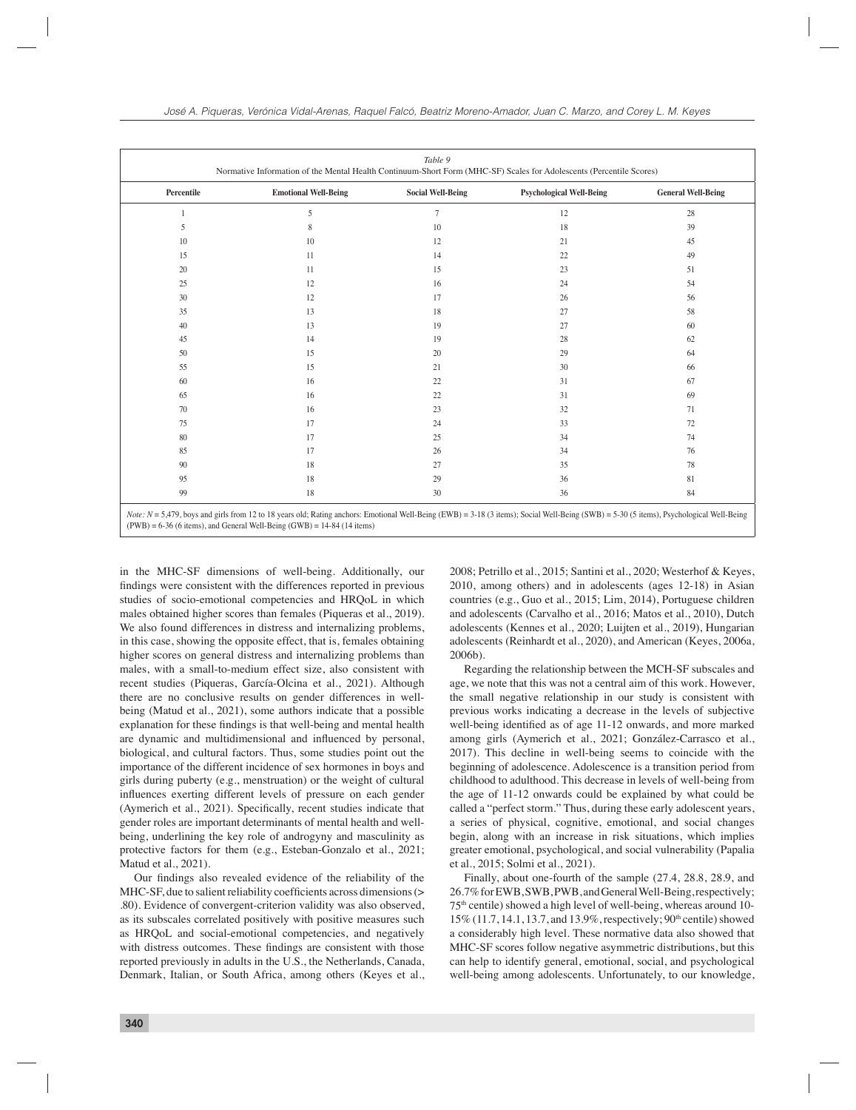| 5<br>$\tau$<br>12<br>28<br>18<br>10<br>39<br>5<br>8<br>10<br>12<br>21<br>45<br>10<br>15<br>14<br>22<br>49<br>11<br>20<br>11<br>15<br>23<br>51<br>25<br>54<br>12<br>16<br>24<br>30<br>56<br>12<br>17<br>26<br>35<br>13<br>18<br>27<br>58<br>40<br>19<br>13<br>27<br>60<br>45<br>19<br>28<br>62<br>14<br>50<br>20<br>29<br>15<br>64<br>55<br>21<br>30<br>15<br>66<br>60<br>22<br>31<br>16<br>67<br>31<br>65<br>22<br>69<br>16<br>32<br>70<br>16<br>23<br>71<br>75<br>24<br>33<br>17<br>72<br>80<br>25<br>17<br>34<br>74<br>85<br>17<br>26<br>34<br>76<br>90<br>18<br>27<br>35<br>78 | Percentile | <b>Emotional Well-Being</b> | <b>Social Well-Being</b> | <b>Psychological Well-Being</b> | <b>General Well-Being</b> |
|-----------------------------------------------------------------------------------------------------------------------------------------------------------------------------------------------------------------------------------------------------------------------------------------------------------------------------------------------------------------------------------------------------------------------------------------------------------------------------------------------------------------------------------------------------------------------------------|------------|-----------------------------|--------------------------|---------------------------------|---------------------------|
|                                                                                                                                                                                                                                                                                                                                                                                                                                                                                                                                                                                   |            |                             |                          |                                 |                           |
|                                                                                                                                                                                                                                                                                                                                                                                                                                                                                                                                                                                   |            |                             |                          |                                 |                           |
|                                                                                                                                                                                                                                                                                                                                                                                                                                                                                                                                                                                   |            |                             |                          |                                 |                           |
|                                                                                                                                                                                                                                                                                                                                                                                                                                                                                                                                                                                   |            |                             |                          |                                 |                           |
|                                                                                                                                                                                                                                                                                                                                                                                                                                                                                                                                                                                   |            |                             |                          |                                 |                           |
|                                                                                                                                                                                                                                                                                                                                                                                                                                                                                                                                                                                   |            |                             |                          |                                 |                           |
|                                                                                                                                                                                                                                                                                                                                                                                                                                                                                                                                                                                   |            |                             |                          |                                 |                           |
|                                                                                                                                                                                                                                                                                                                                                                                                                                                                                                                                                                                   |            |                             |                          |                                 |                           |
|                                                                                                                                                                                                                                                                                                                                                                                                                                                                                                                                                                                   |            |                             |                          |                                 |                           |
|                                                                                                                                                                                                                                                                                                                                                                                                                                                                                                                                                                                   |            |                             |                          |                                 |                           |
|                                                                                                                                                                                                                                                                                                                                                                                                                                                                                                                                                                                   |            |                             |                          |                                 |                           |
|                                                                                                                                                                                                                                                                                                                                                                                                                                                                                                                                                                                   |            |                             |                          |                                 |                           |
|                                                                                                                                                                                                                                                                                                                                                                                                                                                                                                                                                                                   |            |                             |                          |                                 |                           |
|                                                                                                                                                                                                                                                                                                                                                                                                                                                                                                                                                                                   |            |                             |                          |                                 |                           |
|                                                                                                                                                                                                                                                                                                                                                                                                                                                                                                                                                                                   |            |                             |                          |                                 |                           |
|                                                                                                                                                                                                                                                                                                                                                                                                                                                                                                                                                                                   |            |                             |                          |                                 |                           |
|                                                                                                                                                                                                                                                                                                                                                                                                                                                                                                                                                                                   |            |                             |                          |                                 |                           |
|                                                                                                                                                                                                                                                                                                                                                                                                                                                                                                                                                                                   |            |                             |                          |                                 |                           |
|                                                                                                                                                                                                                                                                                                                                                                                                                                                                                                                                                                                   |            |                             |                          |                                 |                           |
|                                                                                                                                                                                                                                                                                                                                                                                                                                                                                                                                                                                   | 95         | 18                          | 29                       | 36                              | 81                        |

 $(PWB) = 6-36$  (6 items), and General Well-Being  $(GWB) = 14-84$  (14 items)

in the MHC-SF dimensions of well-being. Additionally, our findings were consistent with the differences reported in previous studies of socio-emotional competencies and HRQoL in which males obtained higher scores than females (Piqueras et al., 2019). We also found differences in distress and internalizing problems, in this case, showing the opposite effect, that is, females obtaining higher scores on general distress and internalizing problems than males, with a small-to-medium effect size, also consistent with recent studies (Piqueras, García-Olcina et al., 2021). Although there are no conclusive results on gender differences in wellbeing (Matud et al., 2021), some authors indicate that a possible explanation for these findings is that well-being and mental health are dynamic and multidimensional and influenced by personal, biological, and cultural factors. Thus, some studies point out the importance of the different incidence of sex hormones in boys and girls during puberty (e.g., menstruation) or the weight of cultural influences exerting different levels of pressure on each gender (Aymerich et al., 2021). Specifically, recent studies indicate that gender roles are important determinants of mental health and wellbeing, underlining the key role of androgyny and masculinity as protective factors for them (e.g., Esteban-Gonzalo et al., 2021; Matud et al., 2021).

Our findings also revealed evidence of the reliability of the  $MHC-SF$ , due to salient reliability coefficients across dimensions ( $>$ .80). Evidence of convergent-criterion validity was also observed, as its subscales correlated positively with positive measures such as HRQoL and social-emotional competencies, and negatively with distress outcomes. These findings are consistent with those reported previously in adults in the U.S., the Netherlands, Canada, Denmark, Italian, or South Africa, among others (Keyes et al.,

2008; Petrillo et al., 2015; Santini et al., 2020; Westerhof & Keyes, 2010, among others) and in adolescents (ages 12-18) in Asian countries (e.g., Guo et al., 2015; Lim, 2014), Portuguese children and adolescents (Carvalho et al., 2016; Matos et al., 2010), Dutch adolescents (Kennes et al., 2020; Luijten et al., 2019), Hungarian adolescents (Reinhardt et al., 2020), and American (Keyes, 2006a, 2006b).

Regarding the relationship between the MCH-SF subscales and age, we note that this was not a central aim of this work. However, the small negative relationship in our study is consistent with previous works indicating a decrease in the levels of subjective well-being identified as of age 11-12 onwards, and more marked among girls (Aymerich et al., 2021; González-Carrasco et al., 2017). This decline in well-being seems to coincide with the beginning of adolescence. Adolescence is a transition period from childhood to adulthood. This decrease in levels of well-being from the age of 11-12 onwards could be explained by what could be called a "perfect storm." Thus, during these early adolescent years, a series of physical, cognitive, emotional, and social changes begin, along with an increase in risk situations, which implies greater emotional, psychological, and social vulnerability (Papalia et al., 2015; Solmi et al., 2021).

Finally, about one-fourth of the sample (27.4, 28.8, 28.9, and 26.7% for EWB, SWB, PWB, and General Well-Being, respectively;  $75<sup>th</sup>$  centile) showed a high level of well-being, whereas around 10-15% (11.7, 14.1, 13.7, and 13.9%, respectively; 90<sup>th</sup> centile) showed a considerably high level. These normative data also showed that MHC-SF scores follow negative asymmetric distributions, but this can help to identify general, emotional, social, and psychological well-being among adolescents. Unfortunately, to our knowledge,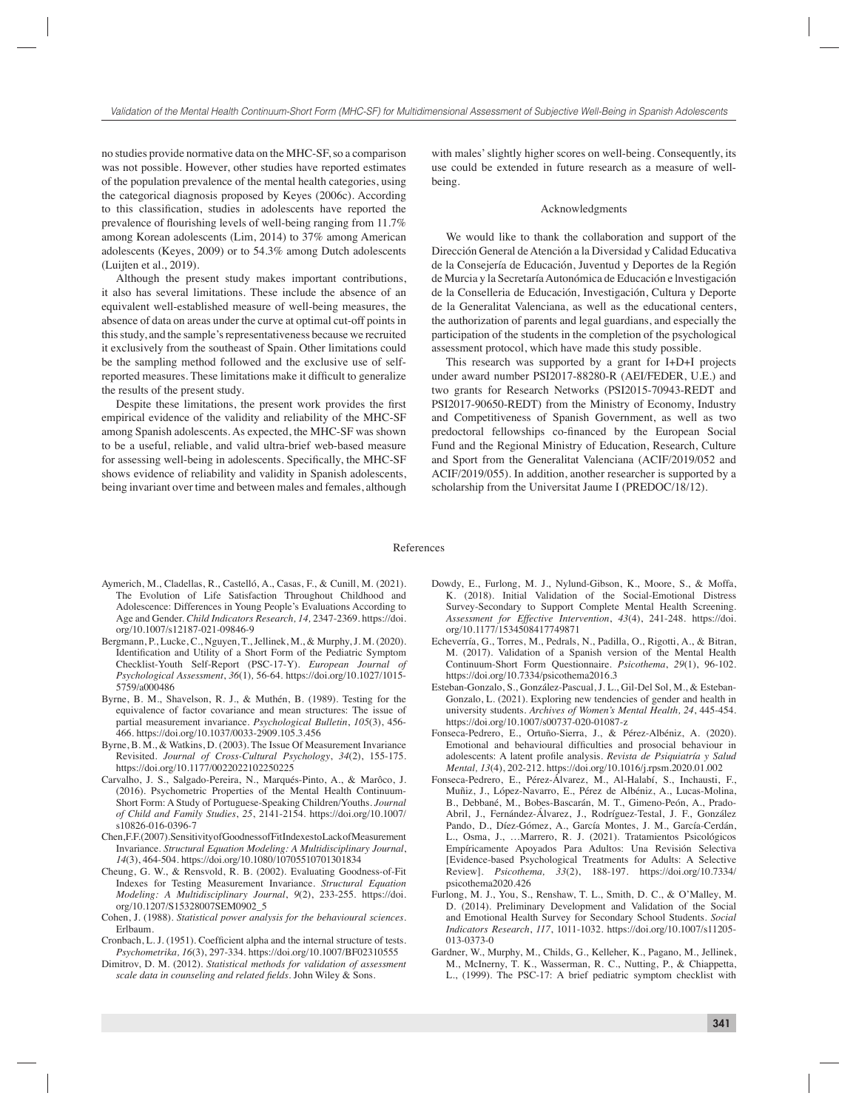no studies provide normative data on the MHC-SF, so a comparison was not possible. However, other studies have reported estimates of the population prevalence of the mental health categories, using the categorical diagnosis proposed by Keyes (2006c). According to this classification, studies in adolescents have reported the prevalence of flourishing levels of well-being ranging from  $11.7\%$ among Korean adolescents (Lim, 2014) to 37% among American adolescents (Keyes, 2009) or to 54.3% among Dutch adolescents (Luijten et al., 2019).

Although the present study makes important contributions, it also has several limitations. These include the absence of an equivalent well-established measure of well-being measures, the absence of data on areas under the curve at optimal cut-off points in this study, and the sample's representativeness because we recruited it exclusively from the southeast of Spain. Other limitations could be the sampling method followed and the exclusive use of selfreported measures. These limitations make it difficult to generalize the results of the present study.

Despite these limitations, the present work provides the first empirical evidence of the validity and reliability of the MHC-SF among Spanish adolescents. As expected, the MHC-SF was shown to be a useful, reliable, and valid ultra-brief web-based measure for assessing well-being in adolescents. Specifically, the MHC-SF shows evidence of reliability and validity in Spanish adolescents, being invariant over time and between males and females, although

with males' slightly higher scores on well-being. Consequently, its use could be extended in future research as a measure of wellbeing.

#### Acknowledgments

We would like to thank the collaboration and support of the Dirección General de Atención a la Diversidad y Calidad Educativa de la Consejería de Educación, Juventud y Deportes de la Región de Murcia y la Secretaría Autonómica de Educación e lnvestigación de la Conselleria de Educación, Investigación, Cultura y Deporte de la Generalitat Valenciana, as well as the educational centers, the authorization of parents and legal guardians, and especially the participation of the students in the completion of the psychological assessment protocol, which have made this study possible.

This research was supported by a grant for I+D+I projects under award number PSI2017-88280-R (AEI/FEDER, U.E.) and two grants for Research Networks (PSI2015-70943-REDT and PSI2017-90650-REDT) from the Ministry of Economy, Industry and Competitiveness of Spanish Government, as well as two predoctoral fellowships co-financed by the European Social Fund and the Regional Ministry of Education, Research, Culture and Sport from the Generalitat Valenciana (ACIF/2019/052 and ACIF/2019/055). In addition, another researcher is supported by a scholarship from the Universitat Jaume I (PREDOC/18/12).

#### References

- Aymerich, M., Cladellas, R., Castelló, A., Casas, F., & Cunill, M. (2021). The Evolution of Life Satisfaction Throughout Childhood and Adolescence: Differences in Young People's Evaluations According to Age and Gender. *Child Indicators Research, 14,* 2347-2369*.* https://doi. org/10.1007/s12187-021-09846-9
- Bergmann, P., Lucke, C., Nguyen, T., Jellinek, M., & Murphy, J. M. (2020). Identification and Utility of a Short Form of the Pediatric Symptom Checklist-Youth Self-Report (PSC-17-Y). *European Journal of Psychological Assessment*, *36*(1)*,* 56-64. https://doi.org/10.1027/1015- 5759/a000486
- Byrne, B. M., Shavelson, R. J., & Muthén, B. (1989). Testing for the equivalence of factor covariance and mean structures: The issue of partial measurement invariance. *Psychological Bulletin*, *105*(3), 456- 466. https://doi.org/10.1037/0033-2909.105.3.456
- Byrne, B. M., & Watkins, D. (2003). The Issue Of Measurement Invariance Revisited. *Journal of Cross-Cultural Psychology*, *34*(2), 155-175. https://doi.org/10.1177/0022022102250225
- Carvalho, J. S., Salgado-Pereira, N., Marqués-Pinto, A., & Marôco, J. (2016). Psychometric Properties of the Mental Health Continuum-Short Form: A Study of Portuguese-Speaking Children/Youths. *Journal of Child and Family Studies*, *25*, 2141-2154. https://doi.org/10.1007/ s10826-016-0396-7
- Chen, F. F. (2007). Sensitivity of Goodness of Fit Indexes to Lack of Measurement Invariance. *Structural Equation Modeling: A Multidisciplinary Journal*, *14*(3), 464-504. https://doi.org/10.1080/10705510701301834
- Cheung, G. W., & Rensvold, R. B. (2002). Evaluating Goodness-of-Fit Indexes for Testing Measurement Invariance. *Structural Equation Modeling: A Multidisciplinary Journal*, *9*(2), 233-255. https://doi. org/10.1207/S15328007SEM0902\_5
- Cohen, J. (1988). *Statistical power analysis for the behavioural sciences*. Erlbaum.
- Cronbach, L. J. (1951). Coefficient alpha and the internal structure of tests. *Psychometrika, 16*(3), 297-334. https://doi.org/10.1007/BF02310555
- Dimitrov, D. M. (2012). *Statistical methods for validation of assessment scale data in counseling and related fields.* John Wiley & Sons.
- Dowdy, E., Furlong, M. J., Nylund-Gibson, K., Moore, S., & Moffa, K. (2018). Initial Validation of the Social-Emotional Distress Survey-Secondary to Support Complete Mental Health Screening. *Assessment for Effective Intervention*, *43*(4), 241-248. https://doi. org/10.1177/1534508417749871
- Echeverría, G., Torres, M., Pedrals, N., Padilla, O., Rigotti, A., & Bitran, M. (2017). Validation of a Spanish version of the Mental Health Continuum-Short Form Questionnaire. *Psicothema*, *29*(1), 96-102. https://doi.org/10.7334/psicothema2016.3
- Esteban-Gonzalo, S., González-Pascual, J. L., Gil-Del Sol, M., & Esteban-Gonzalo, L. (2021). Exploring new tendencies of gender and health in university students. *Archives of Women's Mental Health, 24*, 445-454. https://doi.org/10.1007/s00737-020-01087-z
- Fonseca-Pedrero, E., Ortuño-Sierra, J., & Pérez-Albéniz, A. (2020). Emotional and behavioural difficulties and prosocial behaviour in adolescents: A latent profile analysis. *Revista de Psiquiatría y Salud Mental, 13*(4), 202-212. https://doi.org/10.1016/j.rpsm.2020.01.002
- Fonseca-Pedrero, E., Pérez-Álvarez, M., Al-Halabí, S., Inchausti, F., Muñiz, J., López-Navarro, E., Pérez de Albéniz, A., Lucas-Molina, B., Debbané, M., Bobes-Bascarán, M. T., Gimeno-Peón, A., Prado-Abril, J., Fernández-Álvarez, J., Rodríguez-Testal, J. F., González Pando, D., Díez-Gómez, A., García Montes, J. M., García-Cerdán, L., Osma, J., …Marrero, R. J. (2021). Tratamientos Psicológicos Empíricamente Apoyados Para Adultos: Una Revisión Selectiva [Evidence-based Psychological Treatments for Adults: A Selective Review]. *Psicothema, 33*(2), 188-197. https://doi.org/10.7334/ psicothema2020.426
- Furlong, M. J., You, S., Renshaw, T. L., Smith, D. C., & O'Malley, M. D. (2014). Preliminary Development and Validation of the Social and Emotional Health Survey for Secondary School Students. *Social Indicators Research*, *117*, 1011-1032. https://doi.org/10.1007/s11205- 013-0373-0
- Gardner, W., Murphy, M., Childs, G., Kelleher, K., Pagano, M., Jellinek, M., McInerny, T. K., Wasserman, R. C., Nutting, P., & Chiappetta, L., (1999). The PSC-17: A brief pediatric symptom checklist with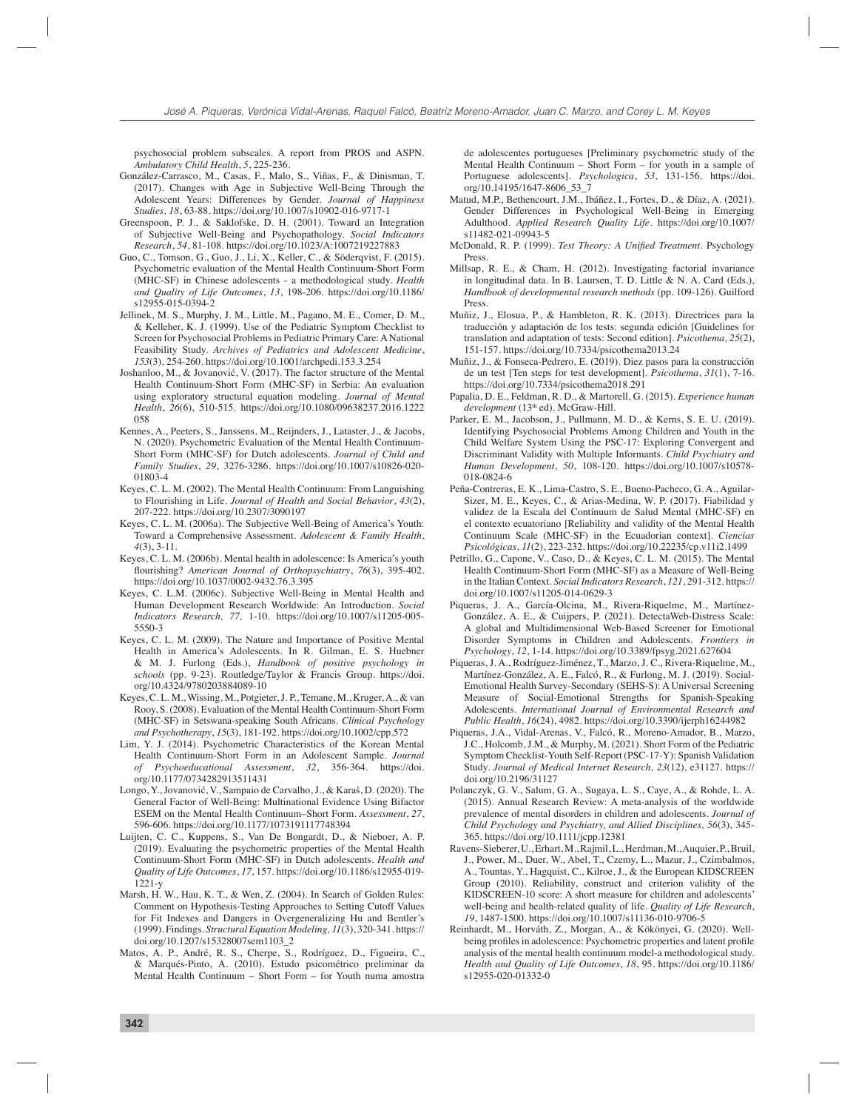psychosocial problem subscales. A report from PROS and ASPN. *Ambulatory Child Health*, *5*, 225-236.

- González-Carrasco, M., Casas, F., Malo, S., Viñas, F., & Dinisman, T. (2017). Changes with Age in Subjective Well-Being Through the Adolescent Years: Differences by Gender. *Journal of Happiness Studies, 18*, 63-88. https://doi.org/10.1007/s10902-016-9717-1
- Greenspoon, P. J., & Saklofske, D. H. (2001). Toward an Integration of Subjective Well-Being and Psychopathology. *Social Indicators Research*, *54*, 81-108. https://doi.org/10.1023/A:1007219227883
- Guo, C., Tomson, G., Guo, J., Li, X., Keller, C., & Söderqvist, F. (2015). Psychometric evaluation of the Mental Health Continuum-Short Form (MHC-SF) in Chinese adolescents - a methodological study. *Health and Quality of Life Outcomes*, *13*, 198-206. https://doi.org/10.1186/ s12955-015-0394-2
- Jellinek, M. S., Murphy, J. M., Little, M., Pagano, M. E., Comer, D. M., & Kelleher, K. J. (1999). Use of the Pediatric Symptom Checklist to Screen for Psychosocial Problems in Pediatric Primary Care: A National Feasibility Study. *Archives of Pediatrics and Adolescent Medicine*, *153*(3), 254-260. https://doi.org/10.1001/archpedi.153.3.254
- Joshanloo, M., & Jovanović, V. (2017). The factor structure of the Mental Health Continuum-Short Form (MHC-SF) in Serbia: An evaluation using exploratory structural equation modeling. *Journal of Mental Health*, *26*(6), 510-515. https://doi.org/10.1080/09638237.2016.1222 058
- Kennes, A., Peeters, S., Janssens, M., Reijnders, J., Lataster, J., & Jacobs, N. (2020). Psychometric Evaluation of the Mental Health Continuum-Short Form (MHC-SF) for Dutch adolescents. *Journal of Child and Family Studies*, *29*, 3276-3286. https://doi.org/10.1007/s10826-020- 01803-4
- Keyes, C. L. M. (2002). The Mental Health Continuum: From Languishing to Flourishing in Life. *Journal of Health and Social Behavior*, *43*(2), 207-222. https://doi.org/10.2307/3090197
- Keyes, C. L. M. (2006a). The Subjective Well-Being of America's Youth: Toward a Comprehensive Assessment. *Adolescent & Family Health*, *4*(3), 3-11.
- Keyes, C. L. M. (2006b). Mental health in adolescence: Is America's youth fl ourishing? *American Journal of Orthopsychiatry*, *76*(3), 395-402. https://doi.org/10.1037/0002-9432.76.3.395
- Keyes, C. L.M. (2006c). Subjective Well-Being in Mental Health and Human Development Research Worldwide: An Introduction. *Social Indicators Research, 77,* 1-10. https://doi.org/10.1007/s11205-005- 5550-3
- Keyes, C. L. M. (2009). The Nature and Importance of Positive Mental Health in America's Adolescents. In R. Gilman, E. S. Huebner & M. J. Furlong (Eds.), *Handbook of positive psychology in schools* (pp. 9-23). Routledge/Taylor & Francis Group. https://doi. org/10.4324/9780203884089-10
- Keyes, C. L. M., Wissing, M., Potgieter, J. P., Temane, M., Kruger, A., & van Rooy, S. (2008). Evaluation of the Mental Health Continuum-Short Form (MHC-SF) in Setswana-speaking South Africans. *Clinical Psychology and Psychotherapy*, *15*(3), 181-192. https://doi.org/10.1002/cpp.572
- Lim, Y. J. (2014). Psychometric Characteristics of the Korean Mental Health Continuum-Short Form in an Adolescent Sample. *Journal of Psychoeducational Assessment*, *32*, 356-364. https://doi. org/10.1177/0734282913511431
- Longo, Y., Jovanović, V., Sampaio de Carvalho, J., & Karaś, D. (2020). The General Factor of Well-Being: Multinational Evidence Using Bifactor ESEM on the Mental Health Continuum–Short Form. *Assessment*, *27*, 596-606. https://doi.org/10.1177/1073191117748394
- Luijten, C. C., Kuppens, S., Van De Bongardt, D., & Nieboer, A. P. (2019). Evaluating the psychometric properties of the Mental Health Continuum-Short Form (MHC-SF) in Dutch adolescents. *Health and Quality of Life Outcomes*, *17*, 157. https://doi.org/10.1186/s12955-019- 1221-y
- Marsh, H. W., Hau, K. T., & Wen, Z. (2004). In Search of Golden Rules: Comment on Hypothesis-Testing Approaches to Setting Cutoff Values for Fit Indexes and Dangers in Overgeneralizing Hu and Bentler's (1999). Findings. *Structural Equation Modeling, 11*(3), 320-341. https:// doi.org/10.1207/s15328007sem1103\_2
- Matos, A. P., André, R. S., Cherpe, S., Rodríguez, D., Figueira, C., & Marqués-Pinto, A. (2010). Estudo psicométrico preliminar da Mental Health Continuum – Short Form – for Youth numa amostra

de adolescentes portugueses [Preliminary psychometric study of the Mental Health Continuum – Short Form – for youth in a sample of Portuguese adolescents]. *Psychologica*, *53*, 131-156. https://doi. org/10.14195/1647-8606\_53\_7

- Matud, M.P., Bethencourt, J.M., Ibáñez, I., Fortes, D., & Díaz, A. (2021). Gender Differences in Psychological Well-Being in Emerging Adulthood. *Applied Research Quality Life*. https://doi.org/10.1007/ s11482-021-09943-5
- McDonald, R. P. (1999). *Test Theory: A Unified Treatment*. Psychology Press.
- Millsap, R. E., & Cham, H. (2012). Investigating factorial invariance in longitudinal data. In B. Laursen, T. D. Little & N. A. Card (Eds.), *Handbook of developmental research methods* (pp. 109-126). Guilford Press.
- Muñiz, J., Elosua, P., & Hambleton, R. K. (2013). Directrices para la traducción y adaptación de los tests: segunda edición [Guidelines for translation and adaptation of tests: Second edition]. *Psicothema, 25*(2), 151-157. https://doi.org/10.7334/psicothema2013.24
- Muñiz, J., & Fonseca-Pedrero, E. (2019). Diez pasos para la construcción de un test [Ten steps for test development]. *Psicothema*, *31*(1), 7-16. https://doi.org/10.7334/psicothema2018.291
- Papalia, D. E., Feldman, R. D., & Martorell, G. (2015). *Experience human development* (13th ed). McGraw-Hill.
- Parker, E. M., Jacobson, J., Pullmann, M. D., & Kerns, S. E. U. (2019). Identifying Psychosocial Problems Among Children and Youth in the Child Welfare System Using the PSC-17: Exploring Convergent and Discriminant Validity with Multiple Informants. *Child Psychiatry and Human Development*, *50*, 108-120. https://doi.org/10.1007/s10578- 018-0824-6
- Peña-Contreras, E. K., Lima-Castro, S. E., Bueno-Pacheco, G. A., Aguilar-Sizer, M. E., Keyes, C., & Arias-Medina, W. P. (2017). Fiabilidad y validez de la Escala del Contínuum de Salud Mental (MHC-SF) en el contexto ecuatoriano [Reliability and validity of the Mental Health Continuum Scale (MHC-SF) in the Ecuadorian context]. *Ciencias Psicológicas*, *11*(2), 223-232. https://doi.org/10.22235/cp.v11i2.1499
- Petrillo, G., Capone, V., Caso, D., & Keyes, C. L. M. (2015). The Mental Health Continuum-Short Form (MHC-SF) as a Measure of Well-Being in the Italian Context. *Social Indicators Research*, *121*, 291-312. https:// doi.org/10.1007/s11205-014-0629-3
- Piqueras, J. A., García-Olcina, M., Rivera-Riquelme, M., Martínez-González, A. E., & Cuijpers, P. (2021). DetectaWeb-Distress Scale: A global and Multidimensional Web-Based Screener for Emotional Disorder Symptoms in Children and Adolescents. *Frontiers in Psychology*, *12*, 1-14. https://doi.org/10.3389/fpsyg.2021.627604
- Piqueras, J. A., Rodríguez-Jiménez, T., Marzo, J. C., Rivera-Riquelme, M., Martínez-González, A. E., Falcó, R., & Furlong, M. J. (2019). Social-Emotional Health Survey-Secondary (SEHS-S): A Universal Screening Measure of Social-Emotional Strengths for Spanish-Speaking Adolescents. *International Journal of Environmental Research and Public Health*, *16*(24), 4982. https://doi.org/10.3390/ijerph16244982
- Piqueras, J.A., Vidal-Arenas, V., Falcó, R., Moreno-Amador, B., Marzo, J.C., Holcomb, J.M., & Murphy, M. (2021). Short Form of the Pediatric Symptom Checklist-Youth Self-Report (PSC-17-Y): Spanish Validation Study. *Journal of Medical Internet Research, 23*(12), e31127. https:// doi.org/10.2196/31127
- Polanczyk, G. V., Salum, G. A., Sugaya, L. S., Caye, A., & Rohde, L. A. (2015). Annual Research Review: A meta-analysis of the worldwide prevalence of mental disorders in children and adolescents. *Journal of Child Psychology and Psychiatry, and Allied Disciplines, 56*(3), 345- 365. https://doi.org/10.1111/jcpp.12381
- Ravens-Sieberer, U., Erhart, M., Rajmil, L., Herdman, M., Auquier, P., Bruil, J., Power, M., Duer, W., Abel, T., Czemy, L., Mazur, J., Czimbalmos, A., Tountas, Y., Hagquist, C., Kilroe, J., & the European KIDSCREEN Group (2010). Reliability, construct and criterion validity of the KIDSCREEN-10 score: A short measure for children and adolescents' well-being and health-related quality of life. *Quality of Life Research*, *19*, 1487-1500. https://doi.org/10.1007/s11136-010-9706-5
- Reinhardt, M., Horváth, Z., Morgan, A., & Kökönyei, G. (2020). Wellbeing profiles in adolescence: Psychometric properties and latent profile analysis of the mental health continuum model-a methodological study. *Health and Quality of Life Outcomes*, *18*, 95. https://doi.org/10.1186/ s12955-020-01332-0